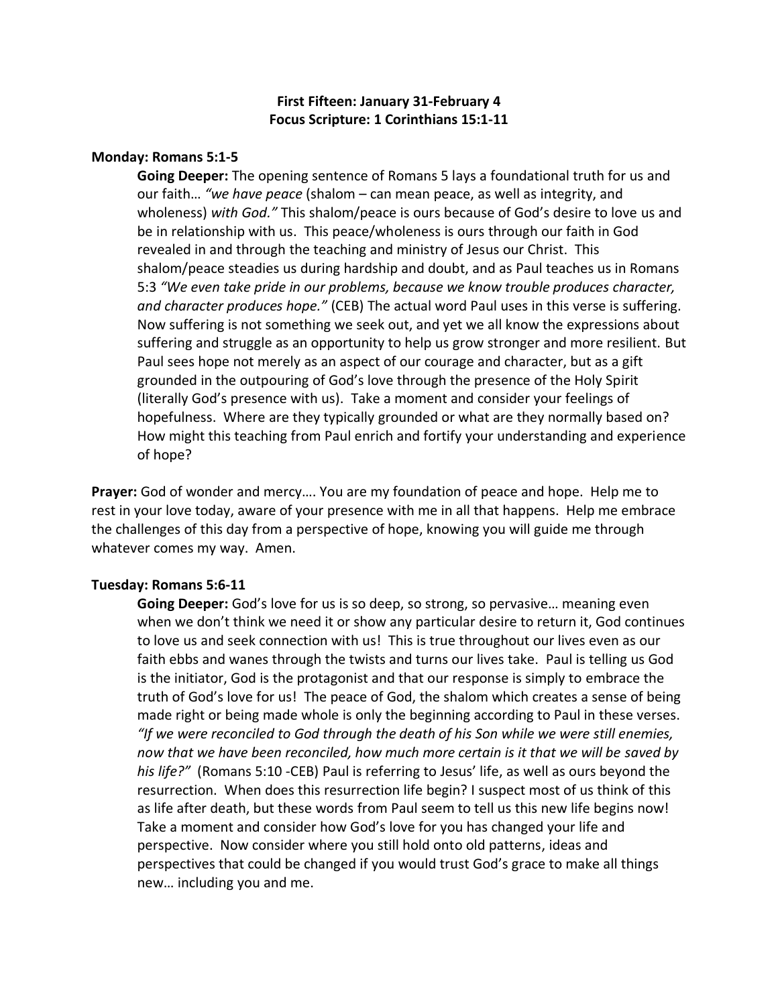# **First Fifteen: January 31-February 4 Focus Scripture: 1 Corinthians 15:1-11**

### **Monday: Romans 5:1-5**

**Going Deeper:** The opening sentence of Romans 5 lays a foundational truth for us and our faith… *"we have peace* (shalom – can mean peace, as well as integrity, and wholeness) *with God."* This shalom/peace is ours because of God's desire to love us and be in relationship with us. This peace/wholeness is ours through our faith in God revealed in and through the teaching and ministry of Jesus our Christ. This shalom/peace steadies us during hardship and doubt, and as Paul teaches us in Romans 5:3 *"We even take pride in our problems, because we know trouble produces character, and character produces hope."* (CEB) The actual word Paul uses in this verse is suffering. Now suffering is not something we seek out, and yet we all know the expressions about suffering and struggle as an opportunity to help us grow stronger and more resilient. But Paul sees hope not merely as an aspect of our courage and character, but as a gift grounded in the outpouring of God's love through the presence of the Holy Spirit (literally God's presence with us). Take a moment and consider your feelings of hopefulness. Where are they typically grounded or what are they normally based on? How might this teaching from Paul enrich and fortify your understanding and experience of hope?

**Prayer:** God of wonder and mercy…. You are my foundation of peace and hope. Help me to rest in your love today, aware of your presence with me in all that happens. Help me embrace the challenges of this day from a perspective of hope, knowing you will guide me through whatever comes my way. Amen.

#### **Tuesday: Romans 5:6-11**

**Going Deeper:** God's love for us is so deep, so strong, so pervasive… meaning even when we don't think we need it or show any particular desire to return it, God continues to love us and seek connection with us! This is true throughout our lives even as our faith ebbs and wanes through the twists and turns our lives take. Paul is telling us God is the initiator, God is the protagonist and that our response is simply to embrace the truth of God's love for us! The peace of God, the shalom which creates a sense of being made right or being made whole is only the beginning according to Paul in these verses. *"If we were reconciled to God through the death of his Son while we were still enemies, now that we have been reconciled, how much more certain is it that we will be saved by his life?"* (Romans 5:10 -CEB) Paul is referring to Jesus' life, as well as ours beyond the resurrection. When does this resurrection life begin? I suspect most of us think of this as life after death, but these words from Paul seem to tell us this new life begins now! Take a moment and consider how God's love for you has changed your life and perspective. Now consider where you still hold onto old patterns, ideas and perspectives that could be changed if you would trust God's grace to make all things new… including you and me.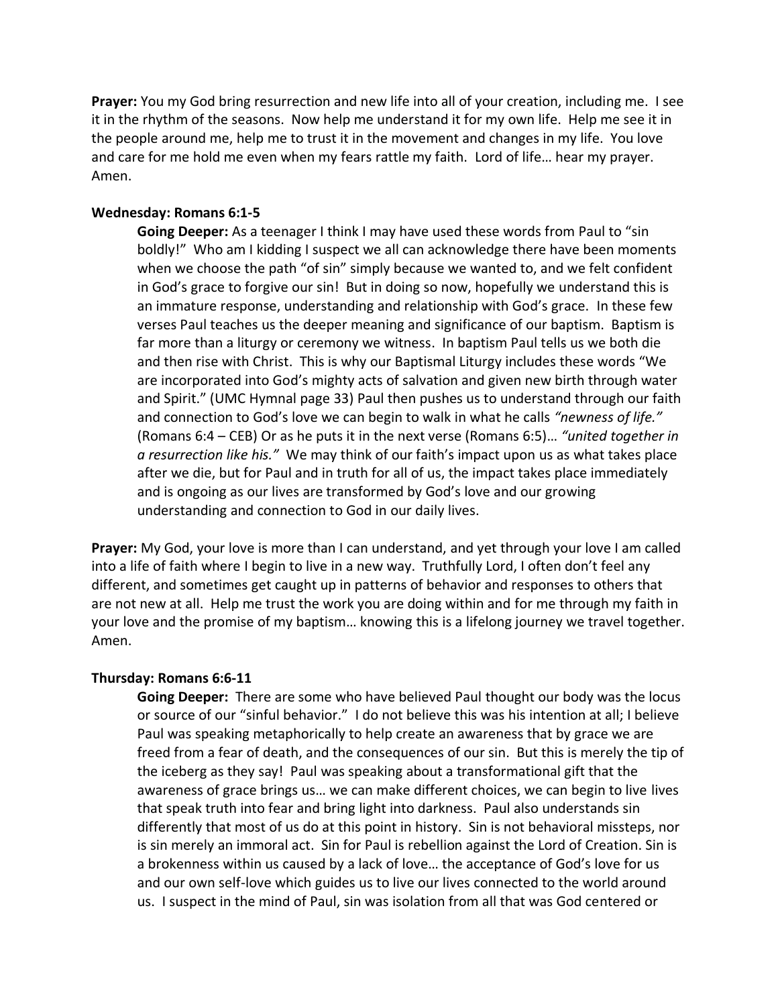**Prayer:** You my God bring resurrection and new life into all of your creation, including me. I see it in the rhythm of the seasons. Now help me understand it for my own life. Help me see it in the people around me, help me to trust it in the movement and changes in my life. You love and care for me hold me even when my fears rattle my faith. Lord of life… hear my prayer. Amen.

## **Wednesday: Romans 6:1-5**

**Going Deeper:** As a teenager I think I may have used these words from Paul to "sin boldly!" Who am I kidding I suspect we all can acknowledge there have been moments when we choose the path "of sin" simply because we wanted to, and we felt confident in God's grace to forgive our sin! But in doing so now, hopefully we understand this is an immature response, understanding and relationship with God's grace. In these few verses Paul teaches us the deeper meaning and significance of our baptism. Baptism is far more than a liturgy or ceremony we witness. In baptism Paul tells us we both die and then rise with Christ. This is why our Baptismal Liturgy includes these words "We are incorporated into God's mighty acts of salvation and given new birth through water and Spirit." (UMC Hymnal page 33) Paul then pushes us to understand through our faith and connection to God's love we can begin to walk in what he calls *"newness of life."*  (Romans 6:4 – CEB) Or as he puts it in the next verse (Romans 6:5)… *"united together in a resurrection like his."* We may think of our faith's impact upon us as what takes place after we die, but for Paul and in truth for all of us, the impact takes place immediately and is ongoing as our lives are transformed by God's love and our growing understanding and connection to God in our daily lives.

**Prayer:** My God, your love is more than I can understand, and yet through your love I am called into a life of faith where I begin to live in a new way. Truthfully Lord, I often don't feel any different, and sometimes get caught up in patterns of behavior and responses to others that are not new at all. Help me trust the work you are doing within and for me through my faith in your love and the promise of my baptism… knowing this is a lifelong journey we travel together. Amen.

## **Thursday: Romans 6:6-11**

**Going Deeper:** There are some who have believed Paul thought our body was the locus or source of our "sinful behavior." I do not believe this was his intention at all; I believe Paul was speaking metaphorically to help create an awareness that by grace we are freed from a fear of death, and the consequences of our sin. But this is merely the tip of the iceberg as they say! Paul was speaking about a transformational gift that the awareness of grace brings us… we can make different choices, we can begin to live lives that speak truth into fear and bring light into darkness. Paul also understands sin differently that most of us do at this point in history. Sin is not behavioral missteps, nor is sin merely an immoral act. Sin for Paul is rebellion against the Lord of Creation. Sin is a brokenness within us caused by a lack of love… the acceptance of God's love for us and our own self-love which guides us to live our lives connected to the world around us. I suspect in the mind of Paul, sin was isolation from all that was God centered or